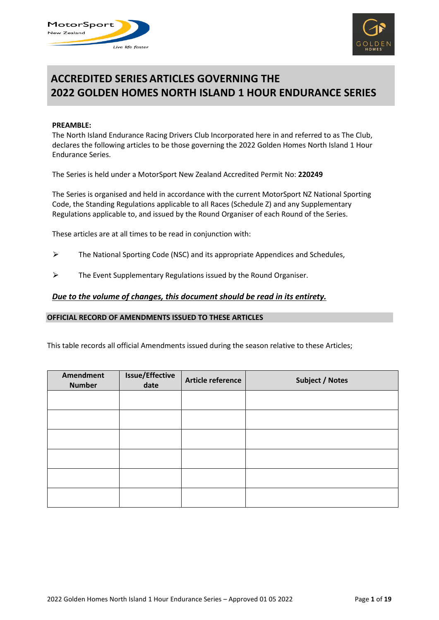



# **ACCREDITED SERIES ARTICLES GOVERNING THE 2022 GOLDEN HOMES NORTH ISLAND 1 HOUR ENDURANCE SERIES**

#### **PREAMBLE:**

The North Island Endurance Racing Drivers Club Incorporated here in and referred to as The Club, declares the following articles to be those governing the 2022 Golden Homes North Island 1 Hour Endurance Series.

The Series is held under a MotorSport New Zealand Accredited Permit No: **220249**

The Series is organised and held in accordance with the current MotorSport NZ National Sporting Code, the Standing Regulations applicable to all Races (Schedule Z) and any Supplementary Regulations applicable to, and issued by the Round Organiser of each Round of the Series.

These articles are at all times to be read in conjunction with:

- $\triangleright$  The National Sporting Code (NSC) and its appropriate Appendices and Schedules,
- $\triangleright$  The Event Supplementary Regulations issued by the Round Organiser.

#### *Due to the volume of changes, this document should be read in its entirety.*

#### **OFFICIAL RECORD OF AMENDMENTS ISSUED TO THESE ARTICLES**

This table records all official Amendments issued during the season relative to these Articles;

| Amendment<br><b>Number</b> | <b>Issue/Effective</b><br>date | Article reference | <b>Subject / Notes</b> |
|----------------------------|--------------------------------|-------------------|------------------------|
|                            |                                |                   |                        |
|                            |                                |                   |                        |
|                            |                                |                   |                        |
|                            |                                |                   |                        |
|                            |                                |                   |                        |
|                            |                                |                   |                        |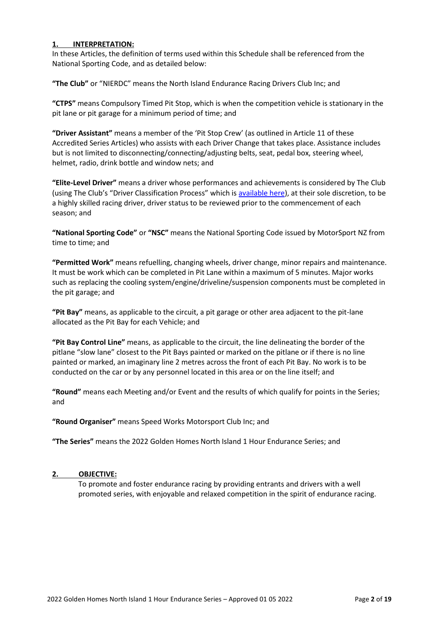# **1. INTERPRETATION:**

In these Articles, the definition of terms used within this Schedule shall be referenced from the National Sporting Code, and as detailed below:

**"The Club"** or "NIERDC" means the North Island Endurance Racing Drivers Club Inc; and

**"CTPS"** means Compulsory Timed Pit Stop, which is when the competition vehicle is stationary in the pit lane or pit garage for a minimum period of time; and

**"Driver Assistant"** means a member of the 'Pit Stop Crew' (as outlined in Article 11 of these Accredited Series Articles) who assists with each Driver Change that takes place. Assistance includes but is not limited to disconnecting/connecting/adjusting belts, seat, pedal box, steering wheel, helmet, radio, drink bottle and window nets; and

**"Elite-Level Driver"** means a driver whose performances and achievements is considered by The Club (using The Club's "Driver Classification Process" which is [available here\)](https://nierdc.files.wordpress.com/2022/03/nierdc-elite-drivers-list-2022-1.pdf), at their sole discretion, to be a highly skilled racing driver, driver status to be reviewed prior to the commencement of each season; and

**"National Sporting Code"** or **"NSC"** means the National Sporting Code issued by MotorSport NZ from time to time; and

**"Permitted Work"** means refuelling, changing wheels, driver change, minor repairs and maintenance. It must be work which can be completed in Pit Lane within a maximum of 5 minutes. Major works such as replacing the cooling system/engine/driveline/suspension components must be completed in the pit garage; and

**"Pit Bay"** means, as applicable to the circuit, a pit garage or other area adjacent to the pit-lane allocated as the Pit Bay for each Vehicle; and

**"Pit Bay Control Line"** means, as applicable to the circuit, the line delineating the border of the pitlane "slow lane" closest to the Pit Bays painted or marked on the pitlane or if there is no line painted or marked, an imaginary line 2 metres across the front of each Pit Bay. No work is to be conducted on the car or by any personnel located in this area or on the line itself; and

**"Round"** means each Meeting and/or Event and the results of which qualify for points in the Series; and

**"Round Organiser"** means Speed Works Motorsport Club Inc; and

**"The Series"** means the 2022 Golden Homes North Island 1 Hour Endurance Series; and

## **2. OBJECTIVE:**

To promote and foster endurance racing by providing entrants and drivers with a well promoted series, with enjoyable and relaxed competition in the spirit of endurance racing.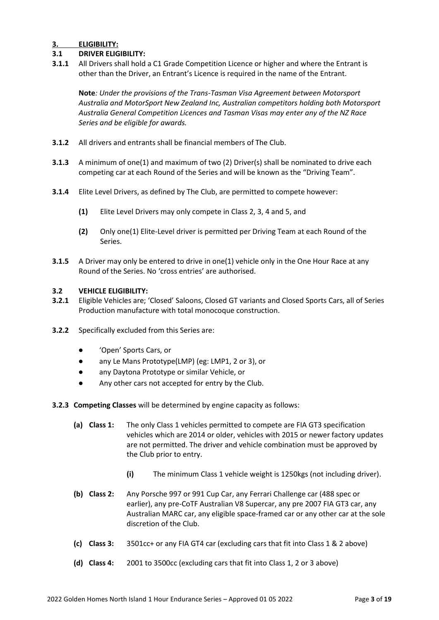# **3. ELIGIBILITY:**

# **3.1 DRIVER ELIGIBILITY:**

**3.1.1** All Drivers shall hold a C1 Grade Competition Licence or higher and where the Entrant is other than the Driver, an Entrant's Licence is required in the name of the Entrant.

**Note***: Under the provisions of the Trans-Tasman Visa Agreement between Motorsport Australia and MotorSport New Zealand Inc, Australian competitors holding both Motorsport Australia General Competition Licences and Tasman Visas may enter any of the NZ Race Series and be eligible for awards.*

- **3.1.2** All drivers and entrants shall be financial members of The Club.
- **3.1.3** A minimum of one(1) and maximum of two (2) Driver(s) shall be nominated to drive each competing car at each Round of the Series and will be known as the "Driving Team".
- **3.1.4** Elite Level Drivers, as defined by The Club, are permitted to compete however:
	- **(1)** Elite Level Drivers may only compete in Class 2, 3, 4 and 5, and
	- **(2)** Only one(1) Elite-Level driver is permitted per Driving Team at each Round of the Series.
- **3.1.5** A Driver may only be entered to drive in one(1) vehicle only in the One Hour Race at any Round of the Series. No 'cross entries' are authorised.

## **3.2 VEHICLE ELIGIBILITY:**

- **3.2.1** Eligible Vehicles are; 'Closed' Saloons, Closed GT variants and Closed Sports Cars, all of Series Production manufacture with total monocoque construction.
- **3.2.2** Specifically excluded from this Series are:
	- 'Open' Sports Cars, or
	- any Le Mans Prototype(LMP) (eg: LMP1, 2 or 3), or
	- any Daytona Prototype or similar Vehicle, or
	- Any other cars not accepted for entry by the Club.
- **3.2.3 Competing Classes** will be determined by engine capacity as follows:
	- **(a) Class 1:** The only Class 1 vehicles permitted to compete are FIA GT3 specification vehicles which are 2014 or older, vehicles with 2015 or newer factory updates are not permitted. The driver and vehicle combination must be approved by the Club prior to entry.
		- **(i)** The minimum Class 1 vehicle weight is 1250kgs (not including driver).
	- **(b) Class 2:** Any Porsche 997 or 991 Cup Car, any Ferrari Challenge car (488 spec or earlier), any pre-CoTF Australian V8 Supercar, any pre 2007 FIA GT3 car, any Australian MARC car, any eligible space-framed car or any other car at the sole discretion of the Club.
	- **(c) Class 3:** 3501cc+ or any FIA GT4 car (excluding cars that fit into Class 1 & 2 above)
	- **(d) Class 4:** 2001 to 3500cc (excluding cars that fit into Class 1, 2 or 3 above)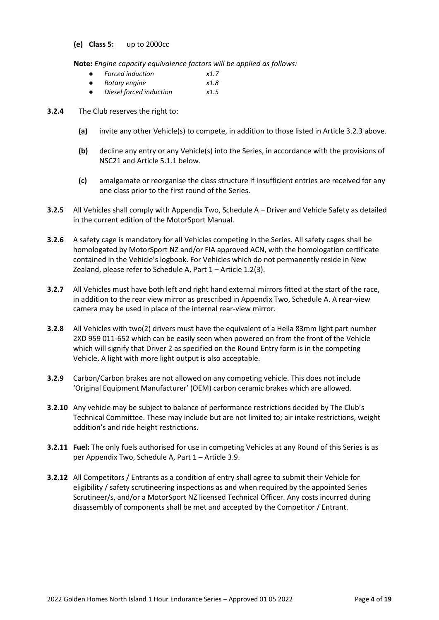#### **(e) Class 5:** up to 2000cc

**Note:** *Engine capacity equivalence factors will be applied as follows:*

- *Forced induction x1.7*
- *Rotary engine x1.8*
- *Diesel forced induction x1.5*

## **3.2.4** The Club reserves the right to:

- **(a)** invite any other Vehicle(s) to compete, in addition to those listed in Article 3.2.3 above.
- **(b)** decline any entry or any Vehicle(s) into the Series, in accordance with the provisions of NSC21 and Article 5.1.1 below.
- **(c)** amalgamate or reorganise the class structure if insufficient entries are received for any one class prior to the first round of the Series.
- **3.2.5** All Vehicles shall comply with Appendix Two, Schedule A Driver and Vehicle Safety as detailed in the current edition of the MotorSport Manual.
- **3.2.6** A safety cage is mandatory for all Vehicles competing in the Series. All safety cages shall be homologated by MotorSport NZ and/or FIA approved ACN, with the homologation certificate contained in the Vehicle's logbook. For Vehicles which do not permanently reside in New Zealand, please refer to Schedule A, Part 1 – Article 1.2(3).
- **3.2.7** All Vehicles must have both left and right hand external mirrors fitted at the start of the race, in addition to the rear view mirror as prescribed in Appendix Two, Schedule A. A rear-view camera may be used in place of the internal rear-view mirror.
- **3.2.8** All Vehicles with two(2) drivers must have the equivalent of a Hella 83mm light part number 2XD 959 011-652 which can be easily seen when powered on from the front of the Vehicle which will signify that Driver 2 as specified on the Round Entry form is in the competing Vehicle. A light with more light output is also acceptable.
- **3.2.9** Carbon/Carbon brakes are not allowed on any competing vehicle. This does not include 'Original Equipment Manufacturer' (OEM) carbon ceramic brakes which are allowed.
- **3.2.10** Any vehicle may be subject to balance of performance restrictions decided by The Club's Technical Committee. These may include but are not limited to; air intake restrictions, weight addition's and ride height restrictions.
- **3.2.11 Fuel:** The only fuels authorised for use in competing Vehicles at any Round of this Series is as per Appendix Two, Schedule A, Part 1 – Article 3.9.
- **3.2.12** All Competitors / Entrants as a condition of entry shall agree to submit their Vehicle for eligibility / safety scrutineering inspections as and when required by the appointed Series Scrutineer/s, and/or a MotorSport NZ licensed Technical Officer. Any costs incurred during disassembly of components shall be met and accepted by the Competitor / Entrant.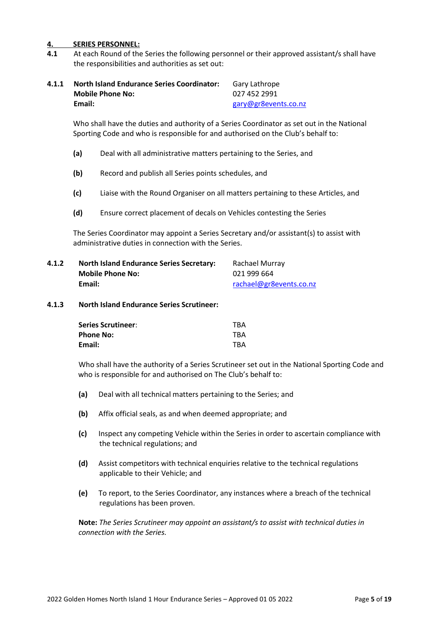## **4. SERIES PERSONNEL:**

**4.1** At each Round of the Series the following personnel or their approved assistant/s shall have the responsibilities and authorities as set out:

| 4.1.1 | <b>North Island Endurance Series Coordinator:</b> | Gary Lathrope        |
|-------|---------------------------------------------------|----------------------|
|       | <b>Mobile Phone No:</b>                           | 027 452 2991         |
|       | Email:                                            | gary@gr8events.co.nz |

Who shall have the duties and authority of a Series Coordinator as set out in the National Sporting Code and who is responsible for and authorised on the Club's behalf to:

- **(a)** Deal with all administrative matters pertaining to the Series, and
- **(b)** Record and publish all Series points schedules, and
- **(c)** Liaise with the Round Organiser on all matters pertaining to these Articles, and
- **(d)** Ensure correct placement of decals on Vehicles contesting the Series

The Series Coordinator may appoint a Series Secretary and/or assistant(s) to assist with administrative duties in connection with the Series.

| 4.1.2 | <b>North Island Endurance Series Secretary:</b> | Rachael Murray          |
|-------|-------------------------------------------------|-------------------------|
|       | <b>Mobile Phone No:</b>                         | 021 999 664             |
|       | Email:                                          | rachael@gr8events.co.nz |

#### **4.1.3 North Island Endurance Series Scrutineer:**

| <b>Series Scrutineer:</b> | <b>TBA</b> |
|---------------------------|------------|
| <b>Phone No:</b>          | <b>TBA</b> |
| Email:                    | <b>TBA</b> |

Who shall have the authority of a Series Scrutineer set out in the National Sporting Code and who is responsible for and authorised on The Club's behalf to:

- **(a)** Deal with all technical matters pertaining to the Series; and
- **(b)** Affix official seals, as and when deemed appropriate; and
- **(c)** Inspect any competing Vehicle within the Series in order to ascertain compliance with the technical regulations; and
- **(d)** Assist competitors with technical enquiries relative to the technical regulations applicable to their Vehicle; and
- **(e)** To report, to the Series Coordinator, any instances where a breach of the technical regulations has been proven.

**Note:** *The Series Scrutineer may appoint an assistant/s to assist with technical duties in connection with the Series.*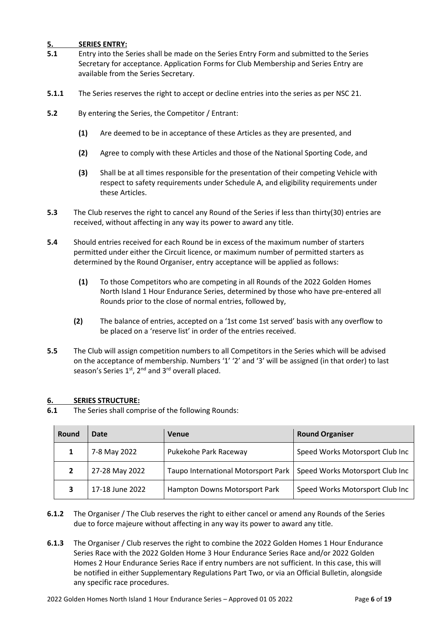# **5. SERIES ENTRY:**

- **5.1** Entry into the Series shall be made on the Series Entry Form and submitted to the Series Secretary for acceptance. Application Forms for Club Membership and Series Entry are available from the Series Secretary.
- **5.1.1** The Series reserves the right to accept or decline entries into the series as per NSC 21.
- **5.2** By entering the Series, the Competitor / Entrant:
	- **(1)** Are deemed to be in acceptance of these Articles as they are presented, and
	- **(2)** Agree to comply with these Articles and those of the National Sporting Code, and
	- **(3)** Shall be at all times responsible for the presentation of their competing Vehicle with respect to safety requirements under Schedule A, and eligibility requirements under these Articles.
- **5.3** The Club reserves the right to cancel any Round of the Series if less than thirty(30) entries are received, without affecting in any way its power to award any title.
- **5.4** Should entries received for each Round be in excess of the maximum number of starters permitted under either the Circuit licence, or maximum number of permitted starters as determined by the Round Organiser, entry acceptance will be applied as follows:
	- **(1)** To those Competitors who are competing in all Rounds of the 2022 Golden Homes North Island 1 Hour Endurance Series, determined by those who have pre-entered all Rounds prior to the close of normal entries, followed by,
	- **(2)** The balance of entries, accepted on a '1st come 1st served' basis with any overflow to be placed on a 'reserve list' in order of the entries received.
- **5.5** The Club will assign competition numbers to all Competitors in the Series which will be advised on the acceptance of membership. Numbers '1' '2' and '3' will be assigned (in that order) to last season's Series  $1<sup>st</sup>$ ,  $2<sup>nd</sup>$  and  $3<sup>rd</sup>$  overall placed.

## **6. SERIES STRUCTURE:**

**6.1** The Series shall comprise of the following Rounds:

| Round | Date            | <b>Venue</b>                        | <b>Round Organiser</b>          |
|-------|-----------------|-------------------------------------|---------------------------------|
|       | 7-8 May 2022    | Pukekohe Park Raceway               | Speed Works Motorsport Club Inc |
|       | 27-28 May 2022  | Taupo International Motorsport Park | Speed Works Motorsport Club Inc |
|       | 17-18 June 2022 | Hampton Downs Motorsport Park       | Speed Works Motorsport Club Inc |

- **6.1.2** The Organiser / The Club reserves the right to either cancel or amend any Rounds of the Series due to force majeure without affecting in any way its power to award any title.
- **6.1.3** The Organiser / Club reserves the right to combine the 2022 Golden Homes 1 Hour Endurance Series Race with the 2022 Golden Home 3 Hour Endurance Series Race and/or 2022 Golden Homes 2 Hour Endurance Series Race if entry numbers are not sufficient. In this case, this will be notified in either Supplementary Regulations Part Two, or via an Official Bulletin, alongside any specific race procedures.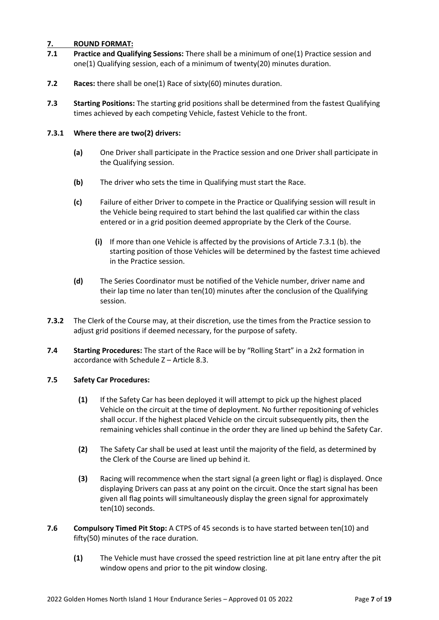## **7. ROUND FORMAT:**

- **7.1 Practice and Qualifying Sessions:** There shall be a minimum of one(1) Practice session and one(1) Qualifying session, each of a minimum of twenty(20) minutes duration.
- **7.2 Races:** there shall be one(1) Race of sixty(60) minutes duration.
- **7.3 Starting Positions:** The starting grid positions shall be determined from the fastest Qualifying times achieved by each competing Vehicle, fastest Vehicle to the front.

## **7.3.1 Where there are two(2) drivers:**

- **(a)** One Driver shall participate in the Practice session and one Driver shall participate in the Qualifying session.
- **(b)** The driver who sets the time in Qualifying must start the Race.
- **(c)** Failure of either Driver to compete in the Practice or Qualifying session will result in the Vehicle being required to start behind the last qualified car within the class entered or in a grid position deemed appropriate by the Clerk of the Course.
	- **(i)** If more than one Vehicle is affected by the provisions of Article 7.3.1 (b). the starting position of those Vehicles will be determined by the fastest time achieved in the Practice session.
- **(d)** The Series Coordinator must be notified of the Vehicle number, driver name and their lap time no later than ten(10) minutes after the conclusion of the Qualifying session.
- **7.3.2** The Clerk of the Course may, at their discretion, use the times from the Practice session to adjust grid positions if deemed necessary, for the purpose of safety.
- **7.4 Starting Procedures:** The start of the Race will be by "Rolling Start" in a 2x2 formation in accordance with Schedule Z – Article 8.3.

## **7.5 Safety Car Procedures:**

- **(1)** If the Safety Car has been deployed it will attempt to pick up the highest placed Vehicle on the circuit at the time of deployment. No further repositioning of vehicles shall occur. If the highest placed Vehicle on the circuit subsequently pits, then the remaining vehicles shall continue in the order they are lined up behind the Safety Car.
- **(2)** The Safety Car shall be used at least until the majority of the field, as determined by the Clerk of the Course are lined up behind it.
- **(3)** Racing will recommence when the start signal (a green light or flag) is displayed. Once displaying Drivers can pass at any point on the circuit. Once the start signal has been given all flag points will simultaneously display the green signal for approximately ten(10) seconds.
- **7.6 Compulsory Timed Pit Stop:** A CTPS of 45 seconds is to have started between ten(10) and fifty(50) minutes of the race duration.
	- **(1)** The Vehicle must have crossed the speed restriction line at pit lane entry after the pit window opens and prior to the pit window closing.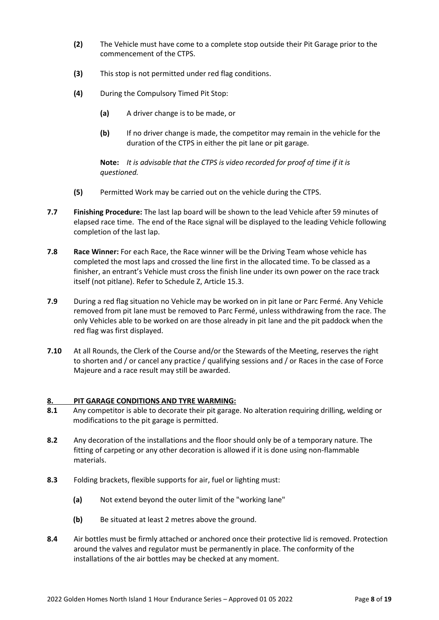- **(2)** The Vehicle must have come to a complete stop outside their Pit Garage prior to the commencement of the CTPS.
- **(3)** This stop is not permitted under red flag conditions.
- **(4)** During the Compulsory Timed Pit Stop:
	- **(a)** A driver change is to be made, or
	- **(b)** If no driver change is made, the competitor may remain in the vehicle for the duration of the CTPS in either the pit lane or pit garage.

**Note:** *It is advisable that the CTPS is video recorded for proof of time if it is questioned.*

- **(5)** Permitted Work may be carried out on the vehicle during the CTPS.
- **7.7 Finishing Procedure:** The last lap board will be shown to the lead Vehicle after 59 minutes of elapsed race time. The end of the Race signal will be displayed to the leading Vehicle following completion of the last lap.
- **7.8 Race Winner:** For each Race, the Race winner will be the Driving Team whose vehicle has completed the most laps and crossed the line first in the allocated time. To be classed as a finisher, an entrant's Vehicle must cross the finish line under its own power on the race track itself (not pitlane). Refer to Schedule Z, Article 15.3.
- **7.9** During a red flag situation no Vehicle may be worked on in pit lane or Parc Fermé. Any Vehicle removed from pit lane must be removed to Parc Fermé, unless withdrawing from the race. The only Vehicles able to be worked on are those already in pit lane and the pit paddock when the red flag was first displayed.
- **7.10** At all Rounds, the Clerk of the Course and/or the Stewards of the Meeting, reserves the right to shorten and / or cancel any practice / qualifying sessions and / or Races in the case of Force Majeure and a race result may still be awarded.

## **8. PIT GARAGE CONDITIONS AND TYRE WARMING:**

- **8.1** Any competitor is able to decorate their pit garage. No alteration requiring drilling, welding or modifications to the pit garage is permitted.
- **8.2** Any decoration of the installations and the floor should only be of a temporary nature. The fitting of carpeting or any other decoration is allowed if it is done using non-flammable materials.
- **8.3** Folding brackets, flexible supports for air, fuel or lighting must:
	- **(a)** Not extend beyond the outer limit of the "working lane"
	- **(b)** Be situated at least 2 metres above the ground.
- **8.4** Air bottles must be firmly attached or anchored once their protective lid is removed. Protection around the valves and regulator must be permanently in place. The conformity of the installations of the air bottles may be checked at any moment.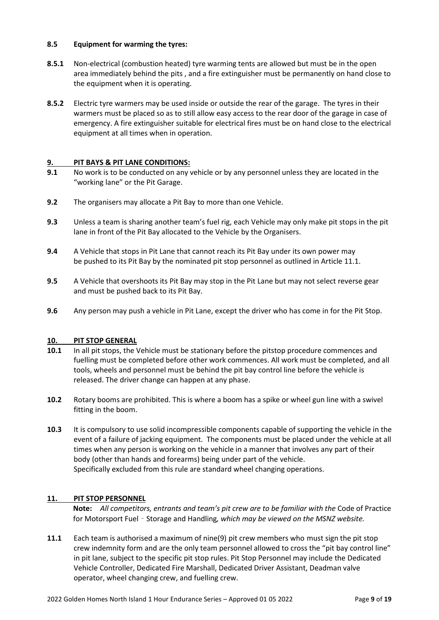## **8.5 Equipment for warming the tyres:**

- **8.5.1** Non-electrical (combustion heated) tyre warming tents are allowed but must be in the open area immediately behind the pits , and a fire extinguisher must be permanently on hand close to the equipment when it is operating.
- **8.5.2** Electric tyre warmers may be used inside or outside the rear of the garage. The tyres in their warmers must be placed so as to still allow easy access to the rear door of the garage in case of emergency. A fire extinguisher suitable for electrical fires must be on hand close to the electrical equipment at all times when in operation.

# **9. PIT BAYS & PIT LANE CONDITIONS:**

- **9.1** No work is to be conducted on any vehicle or by any personnel unless they are located in the "working lane" or the Pit Garage.
- **9.2** The organisers may allocate a Pit Bay to more than one Vehicle.
- **9.3** Unless a team is sharing another team's fuel rig, each Vehicle may only make pit stops in the pit lane in front of the Pit Bay allocated to the Vehicle by the Organisers.
- **9.4** A Vehicle that stops in Pit Lane that cannot reach its Pit Bay under its own power may be pushed to its Pit Bay by the nominated pit stop personnel as outlined in Article 11.1.
- **9.5** A Vehicle that overshoots its Pit Bay may stop in the Pit Lane but may not select reverse gear and must be pushed back to its Pit Bay.
- **9.6** Any person may push a vehicle in Pit Lane, except the driver who has come in for the Pit Stop.

## **10. PIT STOP GENERAL**

- **10.1** In all pit stops, the Vehicle must be stationary before the pitstop procedure commences and fuelling must be completed before other work commences. All work must be completed, and all tools, wheels and personnel must be behind the pit bay control line before the vehicle is released. The driver change can happen at any phase.
- **10.2** Rotary booms are prohibited. This is where a boom has a spike or wheel gun line with a swivel fitting in the boom.
- **10.3** It is compulsory to use solid incompressible components capable of supporting the vehicle in the event of a failure of jacking equipment. The components must be placed under the vehicle at all times when any person is working on the vehicle in a manner that involves any part of their body (other than hands and forearms) being under part of the vehicle. Specifically excluded from this rule are standard wheel changing operations.

## **11. PIT STOP PERSONNEL**

**Note:** *All competitors, entrants and team's pit crew are to be familiar with the* Code of Practice for Motorsport Fuel – Storage and Handling*, which may be viewed on the MSNZ website.*

**11.1** Each team is authorised a maximum of nine(9) pit crew members who must sign the pit stop crew indemnity form and are the only team personnel allowed to cross the "pit bay control line" in pit lane, subject to the specific pit stop rules. Pit Stop Personnel may include the Dedicated Vehicle Controller, Dedicated Fire Marshall, Dedicated Driver Assistant, Deadman valve operator, wheel changing crew, and fuelling crew.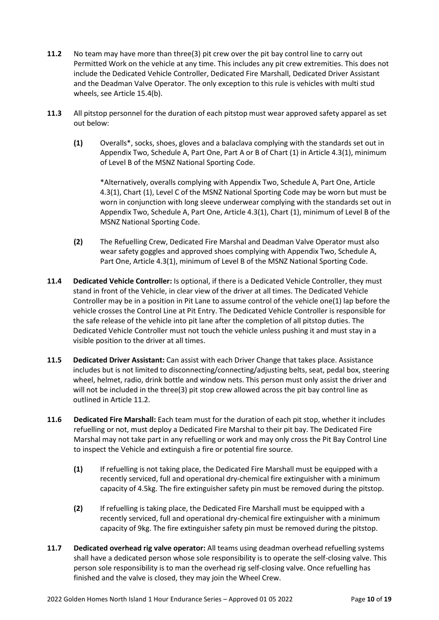- **11.2** No team may have more than three(3) pit crew over the pit bay control line to carry out Permitted Work on the vehicle at any time. This includes any pit crew extremities. This does not include the Dedicated Vehicle Controller, Dedicated Fire Marshall, Dedicated Driver Assistant and the Deadman Valve Operator. The only exception to this rule is vehicles with multi stud wheels, see Article 15.4(b).
- **11.3** All pitstop personnel for the duration of each pitstop must wear approved safety apparel as set out below:
	- **(1)** Overalls\*, socks, shoes, gloves and a balaclava complying with the standards set out in Appendix Two, Schedule A, Part One, Part A or B of Chart (1) in Article 4.3(1), minimum of Level B of the MSNZ National Sporting Code.

\*Alternatively, overalls complying with Appendix Two, Schedule A, Part One, Article 4.3(1), Chart (1), Level C of the MSNZ National Sporting Code may be worn but must be worn in conjunction with long sleeve underwear complying with the standards set out in Appendix Two, Schedule A, Part One, Article 4.3(1), Chart (1), minimum of Level B of the MSNZ National Sporting Code.

- **(2)** The Refuelling Crew, Dedicated Fire Marshal and Deadman Valve Operator must also wear safety goggles and approved shoes complying with Appendix Two, Schedule A, Part One, Article 4.3(1), minimum of Level B of the MSNZ National Sporting Code.
- **11.4 Dedicated Vehicle Controller:** Is optional, if there is a Dedicated Vehicle Controller, they must stand in front of the Vehicle, in clear view of the driver at all times. The Dedicated Vehicle Controller may be in a position in Pit Lane to assume control of the vehicle one(1) lap before the vehicle crosses the Control Line at Pit Entry. The Dedicated Vehicle Controller is responsible for the safe release of the vehicle into pit lane after the completion of all pitstop duties. The Dedicated Vehicle Controller must not touch the vehicle unless pushing it and must stay in a visible position to the driver at all times.
- **11.5 Dedicated Driver Assistant:** Can assist with each Driver Change that takes place. Assistance includes but is not limited to disconnecting/connecting/adjusting belts, seat, pedal box, steering wheel, helmet, radio, drink bottle and window nets. This person must only assist the driver and will not be included in the three(3) pit stop crew allowed across the pit bay control line as outlined in Article 11.2.
- **11.6 Dedicated Fire Marshall:** Each team must for the duration of each pit stop, whether it includes refuelling or not, must deploy a Dedicated Fire Marshal to their pit bay. The Dedicated Fire Marshal may not take part in any refuelling or work and may only cross the Pit Bay Control Line to inspect the Vehicle and extinguish a fire or potential fire source.
	- **(1)** If refuelling is not taking place, the Dedicated Fire Marshall must be equipped with a recently serviced, full and operational dry-chemical fire extinguisher with a minimum capacity of 4.5kg. The fire extinguisher safety pin must be removed during the pitstop.
	- **(2)** If refuelling is taking place, the Dedicated Fire Marshall must be equipped with a recently serviced, full and operational dry-chemical fire extinguisher with a minimum capacity of 9kg. The fire extinguisher safety pin must be removed during the pitstop.
- **11.7 Dedicated overhead rig valve operator:** All teams using deadman overhead refuelling systems shall have a dedicated person whose sole responsibility is to operate the self-closing valve. This person sole responsibility is to man the overhead rig self-closing valve. Once refuelling has finished and the valve is closed, they may join the Wheel Crew.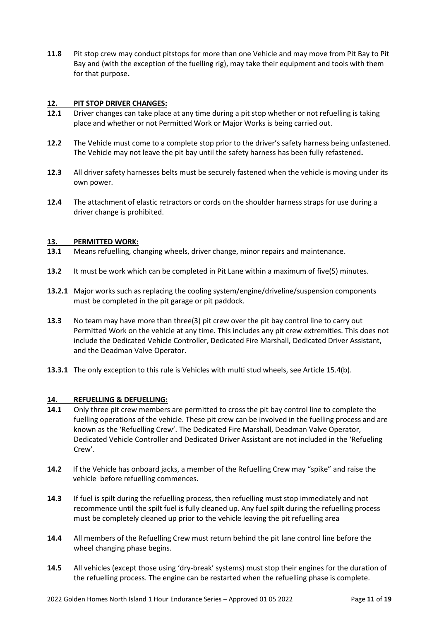**11.8** Pit stop crew may conduct pitstops for more than one Vehicle and may move from Pit Bay to Pit Bay and (with the exception of the fuelling rig), may take their equipment and tools with them for that purpose**.**

## **12. PIT STOP DRIVER CHANGES:**

- **12.1** Driver changes can take place at any time during a pit stop whether or not refuelling is taking place and whether or not Permitted Work or Major Works is being carried out.
- **12.2** The Vehicle must come to a complete stop prior to the driver's safety harness being unfastened. The Vehicle may not leave the pit bay until the safety harness has been fully refastened**.**
- **12.3** All driver safety harnesses belts must be securely fastened when the vehicle is moving under its own power.
- **12.4** The attachment of elastic retractors or cords on the shoulder harness straps for use during a driver change is prohibited.

## **13. PERMITTED WORK:**

- **13.1** Means refuelling, changing wheels, driver change, minor repairs and maintenance.
- **13.2** It must be work which can be completed in Pit Lane within a maximum of five(5) minutes.
- **13.2.1** Major works such as replacing the cooling system/engine/driveline/suspension components must be completed in the pit garage or pit paddock.
- **13.3** No team may have more than three(3) pit crew over the pit bay control line to carry out Permitted Work on the vehicle at any time. This includes any pit crew extremities. This does not include the Dedicated Vehicle Controller, Dedicated Fire Marshall, Dedicated Driver Assistant, and the Deadman Valve Operator.
- **13.3.1** The only exception to this rule is Vehicles with multi stud wheels, see Article 15.4(b).

## **14. REFUELLING & DEFUELLING:**

- **14.1** Only three pit crew members are permitted to cross the pit bay control line to complete the fuelling operations of the vehicle. These pit crew can be involved in the fuelling process and are known as the 'Refuelling Crew'. The Dedicated Fire Marshall, Deadman Valve Operator, Dedicated Vehicle Controller and Dedicated Driver Assistant are not included in the 'Refueling Crew'.
- **14.2** If the Vehicle has onboard jacks, a member of the Refuelling Crew may "spike" and raise the vehicle before refuelling commences.
- **14.3** If fuel is spilt during the refuelling process, then refuelling must stop immediately and not recommence until the spilt fuel is fully cleaned up. Any fuel spilt during the refuelling process must be completely cleaned up prior to the vehicle leaving the pit refuelling area
- **14.4** All members of the Refuelling Crew must return behind the pit lane control line before the wheel changing phase begins.
- **14.5** All vehicles (except those using 'dry-break' systems) must stop their engines for the duration of the refuelling process. The engine can be restarted when the refuelling phase is complete.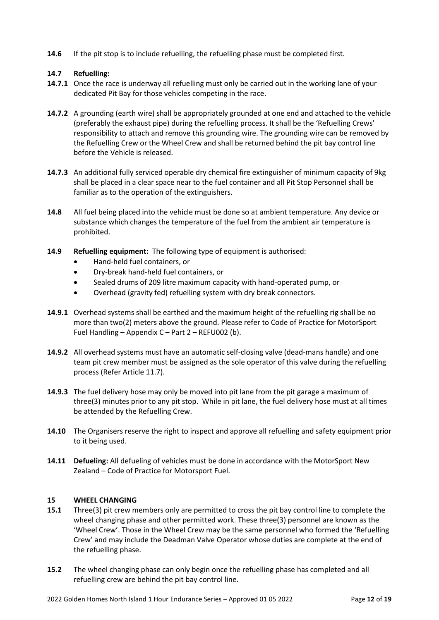**14.6** If the pit stop is to include refuelling, the refuelling phase must be completed first.

# **14.7 Refuelling:**

- **14.7.1** Once the race is underway all refuelling must only be carried out in the working lane of your dedicated Pit Bay for those vehicles competing in the race.
- **14.7.2** A grounding (earth wire) shall be appropriately grounded at one end and attached to the vehicle (preferably the exhaust pipe) during the refuelling process. It shall be the 'Refuelling Crews' responsibility to attach and remove this grounding wire. The grounding wire can be removed by the Refuelling Crew or the Wheel Crew and shall be returned behind the pit bay control line before the Vehicle is released.
- **14.7.3** An additional fully serviced operable dry chemical fire extinguisher of minimum capacity of 9kg shall be placed in a clear space near to the fuel container and all Pit Stop Personnel shall be familiar as to the operation of the extinguishers.
- **14.8** All fuel being placed into the vehicle must be done so at ambient temperature. Any device or substance which changes the temperature of the fuel from the ambient air temperature is prohibited.
- **14.9 Refuelling equipment:** The following type of equipment is authorised:
	- Hand-held fuel containers, or
	- Dry-break hand-held fuel containers, or
	- Sealed drums of 209 litre maximum capacity with hand-operated pump, or
	- Overhead (gravity fed) refuelling system with dry break connectors.
- **14.9.1** Overhead systems shall be earthed and the maximum height of the refuelling rig shall be no more than two(2) meters above the ground. Please refer to Code of Practice for MotorSport Fuel Handling – Appendix C – Part 2 – REFU002 (b).
- **14.9.2** All overhead systems must have an automatic self-closing valve (dead-mans handle) and one team pit crew member must be assigned as the sole operator of this valve during the refuelling process (Refer Article 11.7).
- **14.9.3** The fuel delivery hose may only be moved into pit lane from the pit garage a maximum of three(3) minutes prior to any pit stop. While in pit lane, the fuel delivery hose must at all times be attended by the Refuelling Crew.
- **14.10** The Organisers reserve the right to inspect and approve all refuelling and safety equipment prior to it being used.
- **14.11 Defueling:** All defueling of vehicles must be done in accordance with the MotorSport New Zealand – Code of Practice for Motorsport Fuel.

## **15 WHEEL CHANGING**

- **15.1** Three(3) pit crew members only are permitted to cross the pit bay control line to complete the wheel changing phase and other permitted work. These three(3) personnel are known as the 'Wheel Crew'. Those in the Wheel Crew may be the same personnel who formed the 'Refuelling Crew' and may include the Deadman Valve Operator whose duties are complete at the end of the refuelling phase.
- **15.2** The wheel changing phase can only begin once the refuelling phase has completed and all refuelling crew are behind the pit bay control line.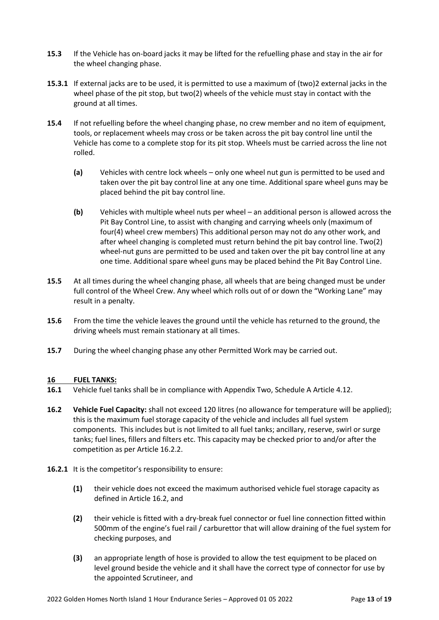- **15.3** If the Vehicle has on-board jacks it may be lifted for the refuelling phase and stay in the air for the wheel changing phase.
- **15.3.1** If external jacks are to be used, it is permitted to use a maximum of (two)2 external jacks in the wheel phase of the pit stop, but two(2) wheels of the vehicle must stay in contact with the ground at all times.
- **15.4** If not refuelling before the wheel changing phase, no crew member and no item of equipment, tools, or replacement wheels may cross or be taken across the pit bay control line until the Vehicle has come to a complete stop for its pit stop. Wheels must be carried across the line not rolled.
	- **(a)** Vehicles with centre lock wheels only one wheel nut gun is permitted to be used and taken over the pit bay control line at any one time. Additional spare wheel guns may be placed behind the pit bay control line.
	- **(b)** Vehicles with multiple wheel nuts per wheel an additional person is allowed across the Pit Bay Control Line, to assist with changing and carrying wheels only (maximum of four(4) wheel crew members) This additional person may not do any other work, and after wheel changing is completed must return behind the pit bay control line. Two(2) wheel-nut guns are permitted to be used and taken over the pit bay control line at any one time. Additional spare wheel guns may be placed behind the Pit Bay Control Line.
- **15.5** At all times during the wheel changing phase, all wheels that are being changed must be under full control of the Wheel Crew. Any wheel which rolls out of or down the "Working Lane" may result in a penalty.
- **15.6** From the time the vehicle leaves the ground until the vehicle has returned to the ground, the driving wheels must remain stationary at all times.
- **15.7** During the wheel changing phase any other Permitted Work may be carried out.

## **16 FUEL TANKS:**

- **16.1** Vehicle fuel tanks shall be in compliance with Appendix Two, Schedule A Article 4.12.
- **16.2 Vehicle Fuel Capacity:** shall not exceed 120 litres (no allowance for temperature will be applied); this is the maximum fuel storage capacity of the vehicle and includes all fuel system components. This includes but is not limited to all fuel tanks; ancillary, reserve, swirl or surge tanks; fuel lines, fillers and filters etc. This capacity may be checked prior to and/or after the competition as per Article 16.2.2.
- **16.2.1** It is the competitor's responsibility to ensure:
	- **(1)** their vehicle does not exceed the maximum authorised vehicle fuel storage capacity as defined in Article 16.2, and
	- **(2)** their vehicle is fitted with a dry-break fuel connector or fuel line connection fitted within 500mm of the engine's fuel rail / carburettor that will allow draining of the fuel system for checking purposes, and
	- **(3)** an appropriate length of hose is provided to allow the test equipment to be placed on level ground beside the vehicle and it shall have the correct type of connector for use by the appointed Scrutineer, and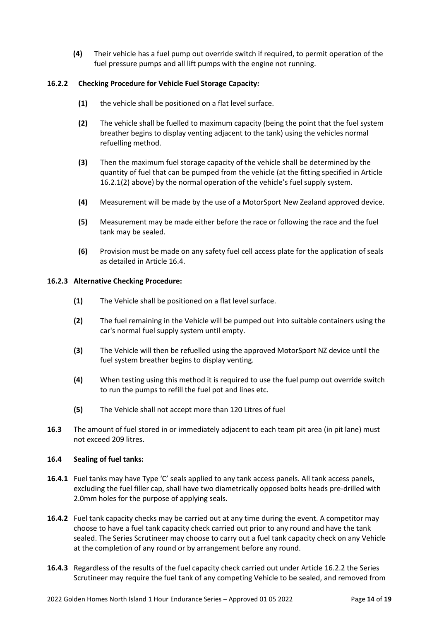**(4)** Their vehicle has a fuel pump out override switch if required, to permit operation of the fuel pressure pumps and all lift pumps with the engine not running.

## **16.2.2 Checking Procedure for Vehicle Fuel Storage Capacity:**

- **(1)** the vehicle shall be positioned on a flat level surface.
- **(2)** The vehicle shall be fuelled to maximum capacity (being the point that the fuel system breather begins to display venting adjacent to the tank) using the vehicles normal refuelling method.
- **(3)** Then the maximum fuel storage capacity of the vehicle shall be determined by the quantity of fuel that can be pumped from the vehicle (at the fitting specified in Article 16.2.1(2) above) by the normal operation of the vehicle's fuel supply system.
- **(4)** Measurement will be made by the use of a MotorSport New Zealand approved device.
- **(5)** Measurement may be made either before the race or following the race and the fuel tank may be sealed.
- **(6)** Provision must be made on any safety fuel cell access plate for the application of seals as detailed in Article 16.4.

## **16.2.3 Alternative Checking Procedure:**

- **(1)** The Vehicle shall be positioned on a flat level surface.
- **(2)** The fuel remaining in the Vehicle will be pumped out into suitable containers using the car's normal fuel supply system until empty.
- **(3)** The Vehicle will then be refuelled using the approved MotorSport NZ device until the fuel system breather begins to display venting.
- **(4)** When testing using this method it is required to use the fuel pump out override switch to run the pumps to refill the fuel pot and lines etc.
- **(5)** The Vehicle shall not accept more than 120 Litres of fuel
- **16.3** The amount of fuel stored in or immediately adjacent to each team pit area (in pit lane) must not exceed 209 litres.

## **16.4 Sealing of fuel tanks:**

- **16.4.1** Fuel tanks may have Type 'C' seals applied to any tank access panels. All tank access panels, excluding the fuel filler cap, shall have two diametrically opposed bolts heads pre-drilled with 2.0mm holes for the purpose of applying seals.
- **16.4.2** Fuel tank capacity checks may be carried out at any time during the event. A competitor may choose to have a fuel tank capacity check carried out prior to any round and have the tank sealed. The Series Scrutineer may choose to carry out a fuel tank capacity check on any Vehicle at the completion of any round or by arrangement before any round.
- **16.4.3** Regardless of the results of the fuel capacity check carried out under Article 16.2.2 the Series Scrutineer may require the fuel tank of any competing Vehicle to be sealed, and removed from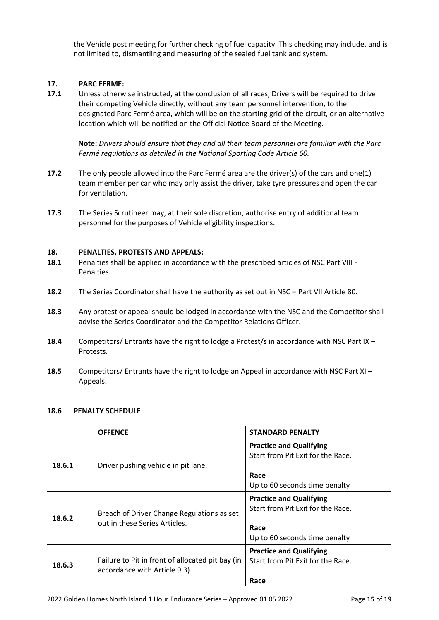the Vehicle post meeting for further checking of fuel capacity. This checking may include, and is not limited to, dismantling and measuring of the sealed fuel tank and system.

# **17. PARC FERME:**

**17.1** Unless otherwise instructed, at the conclusion of all races, Drivers will be required to drive their competing Vehicle directly, without any team personnel intervention, to the designated Parc Fermé area, which will be on the starting grid of the circuit, or an alternative location which will be notified on the Official Notice Board of the Meeting.

**Note:** *Drivers should ensure that they and all their team personnel are familiar with the Parc Fermé regulations as detailed in the National Sporting Code Article 60.*

- **17.2** The only people allowed into the Parc Fermé area are the driver(s) of the cars and one(1) team member per car who may only assist the driver, take tyre pressures and open the car for ventilation.
- **17.3** The Series Scrutineer may, at their sole discretion, authorise entry of additional team personnel for the purposes of Vehicle eligibility inspections.

## **18. PENALTIES, PROTESTS AND APPEALS:**

- **18.1** Penalties shall be applied in accordance with the prescribed articles of NSC Part VIII Penalties.
- **18.2** The Series Coordinator shall have the authority as set out in NSC Part VII Article 80.
- **18.3** Any protest or appeal should be lodged in accordance with the NSC and the Competitor shall advise the Series Coordinator and the Competitor Relations Officer.
- **18.4** Competitors/ Entrants have the right to lodge a Protest/s in accordance with NSC Part IX Protests.
- **18.5** Competitors/ Entrants have the right to lodge an Appeal in accordance with NSC Part XI Appeals.

## **18.6 PENALTY SCHEDULE**

|        | <b>OFFENCE</b>                                                                   | <b>STANDARD PENALTY</b>                                                                                      |
|--------|----------------------------------------------------------------------------------|--------------------------------------------------------------------------------------------------------------|
| 18.6.1 | Driver pushing vehicle in pit lane.                                              | <b>Practice and Qualifying</b><br>Start from Pit Exit for the Race.<br>Race<br>Up to 60 seconds time penalty |
| 18.6.2 | Breach of Driver Change Regulations as set<br>out in these Series Articles.      | <b>Practice and Qualifying</b><br>Start from Pit Exit for the Race.<br>Race<br>Up to 60 seconds time penalty |
| 18.6.3 | Failure to Pit in front of allocated pit bay (in<br>accordance with Article 9.3) | <b>Practice and Qualifying</b><br>Start from Pit Exit for the Race.<br>Race                                  |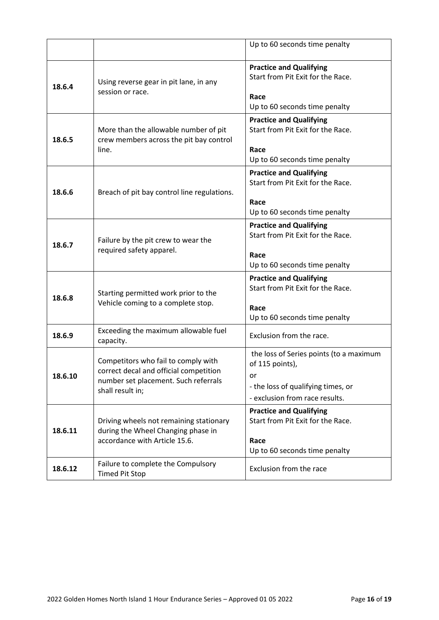|         |                                                                                                                                           | Up to 60 seconds time penalty                                                                                                            |
|---------|-------------------------------------------------------------------------------------------------------------------------------------------|------------------------------------------------------------------------------------------------------------------------------------------|
| 18.6.4  | Using reverse gear in pit lane, in any<br>session or race.                                                                                | <b>Practice and Qualifying</b><br>Start from Pit Exit for the Race.<br>Race<br>Up to 60 seconds time penalty                             |
| 18.6.5  | More than the allowable number of pit<br>crew members across the pit bay control<br>line.                                                 | <b>Practice and Qualifying</b><br>Start from Pit Exit for the Race.<br>Race<br>Up to 60 seconds time penalty                             |
| 18.6.6  | Breach of pit bay control line regulations.                                                                                               | <b>Practice and Qualifying</b><br>Start from Pit Exit for the Race.<br>Race<br>Up to 60 seconds time penalty                             |
| 18.6.7  | Failure by the pit crew to wear the<br>required safety apparel.                                                                           | <b>Practice and Qualifying</b><br>Start from Pit Exit for the Race.<br>Race<br>Up to 60 seconds time penalty                             |
| 18.6.8  | Starting permitted work prior to the<br>Vehicle coming to a complete stop.                                                                | <b>Practice and Qualifying</b><br>Start from Pit Exit for the Race.<br>Race<br>Up to 60 seconds time penalty                             |
| 18.6.9  | Exceeding the maximum allowable fuel<br>capacity.                                                                                         | Exclusion from the race.                                                                                                                 |
| 18.6.10 | Competitors who fail to comply with<br>correct decal and official competition<br>number set placement. Such referrals<br>shall result in; | the loss of Series points (to a maximum<br>of 115 points),<br>or<br>- the loss of qualifying times, or<br>- exclusion from race results. |
| 18.6.11 | Driving wheels not remaining stationary<br>during the Wheel Changing phase in<br>accordance with Article 15.6.                            | <b>Practice and Qualifying</b><br>Start from Pit Exit for the Race.<br>Race<br>Up to 60 seconds time penalty                             |
| 18.6.12 | Failure to complete the Compulsory<br><b>Timed Pit Stop</b>                                                                               | Exclusion from the race                                                                                                                  |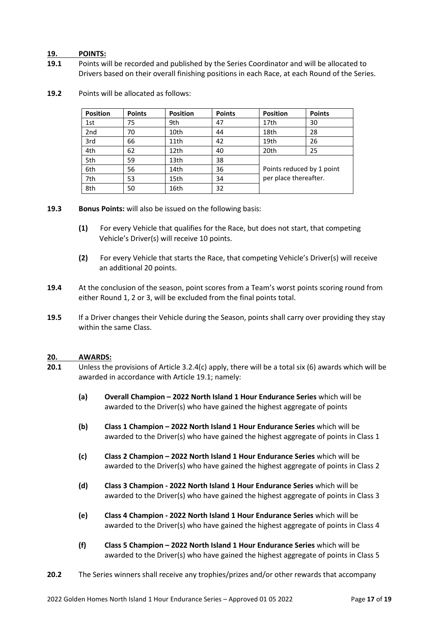#### **19. POINTS:**

**19.1** Points will be recorded and published by the Series Coordinator and will be allocated to Drivers based on their overall finishing positions in each Race, at each Round of the Series.

| <b>Position</b> | <b>Points</b> | <b>Position</b> | <b>Points</b> | <b>Position</b>           | <b>Points</b> |
|-----------------|---------------|-----------------|---------------|---------------------------|---------------|
| 1st             | 75            | 9th             | 47            | 17th                      | 30            |
| 2 <sub>nd</sub> | 70            | 10th            | 44            | 18th                      | 28            |
| 3rd             | 66            | 11th            | 42            | 19th                      | 26            |
| 4th             | 62            | 12th            | 40            | 20th                      | 25            |
| 5th             | 59            | 13th            | 38            |                           |               |
| 6th             | 56            | 14th            | 36            | Points reduced by 1 point |               |
| 7th             | 53            | 15th            | 34            | per place thereafter.     |               |
| 8th             | 50            | 16th            | 32            |                           |               |

**19.2** Points will be allocated as follows:

#### **19.3 Bonus Points:** will also be issued on the following basis:

- **(1)** For every Vehicle that qualifies for the Race, but does not start, that competing Vehicle's Driver(s) will receive 10 points.
- **(2)** For every Vehicle that starts the Race, that competing Vehicle's Driver(s) will receive an additional 20 points.
- **19.4** At the conclusion of the season, point scores from a Team's worst points scoring round from either Round 1, 2 or 3, will be excluded from the final points total.
- **19.5** If a Driver changes their Vehicle during the Season, points shall carry over providing they stay within the same Class.

#### **20. AWARDS:**

- **20.1** Unless the provisions of Article 3.2.4(c) apply, there will be a total six (6) awards which will be awarded in accordance with Article 19.1; namely:
	- **(a) Overall Champion – 2022 North Island 1 Hour Endurance Series** which will be awarded to the Driver(s) who have gained the highest aggregate of points
	- **(b) Class 1 Champion – 2022 North Island 1 Hour Endurance Series** which will be awarded to the Driver(s) who have gained the highest aggregate of points in Class 1
	- **(c) Class 2 Champion – 2022 North Island 1 Hour Endurance Series** which will be awarded to the Driver(s) who have gained the highest aggregate of points in Class 2
	- **(d) Class 3 Champion - 2022 North Island 1 Hour Endurance Series** which will be awarded to the Driver(s) who have gained the highest aggregate of points in Class 3
	- **(e) Class 4 Champion - 2022 North Island 1 Hour Endurance Series** which will be awarded to the Driver(s) who have gained the highest aggregate of points in Class 4
	- **(f) Class 5 Champion – 2022 North Island 1 Hour Endurance Series** which will be awarded to the Driver(s) who have gained the highest aggregate of points in Class 5
- **20.2** The Series winners shall receive any trophies/prizes and/or other rewards that accompany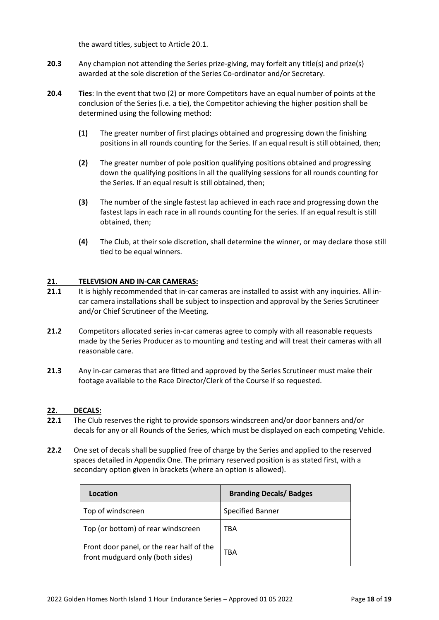the award titles, subject to Article 20.1.

- **20.3** Any champion not attending the Series prize-giving, may forfeit any title(s) and prize(s) awarded at the sole discretion of the Series Co-ordinator and/or Secretary.
- **20.4 Ties**: In the event that two (2) or more Competitors have an equal number of points at the conclusion of the Series (i.e. a tie), the Competitor achieving the higher position shall be determined using the following method:
	- **(1)** The greater number of first placings obtained and progressing down the finishing positions in all rounds counting for the Series. If an equal result is still obtained, then;
	- **(2)** The greater number of pole position qualifying positions obtained and progressing down the qualifying positions in all the qualifying sessions for all rounds counting for the Series. If an equal result is still obtained, then;
	- **(3)** The number of the single fastest lap achieved in each race and progressing down the fastest laps in each race in all rounds counting for the series. If an equal result is still obtained, then;
	- **(4)** The Club, at their sole discretion, shall determine the winner, or may declare those still tied to be equal winners.

## **21. TELEVISION AND IN-CAR CAMERAS:**

- **21.1** It is highly recommended that in-car cameras are installed to assist with any inquiries. All incar camera installations shall be subject to inspection and approval by the Series Scrutineer and/or Chief Scrutineer of the Meeting.
- **21.2** Competitors allocated series in-car cameras agree to comply with all reasonable requests made by the Series Producer as to mounting and testing and will treat their cameras with all reasonable care.
- **21.3** Any in-car cameras that are fitted and approved by the Series Scrutineer must make their footage available to the Race Director/Clerk of the Course if so requested.

## **22. DECALS:**

- **22.1** The Club reserves the right to provide sponsors windscreen and/or door banners and/or decals for any or all Rounds of the Series, which must be displayed on each competing Vehicle.
- **22.2** One set of decals shall be supplied free of charge by the Series and applied to the reserved spaces detailed in Appendix One. The primary reserved position is as stated first, with a secondary option given in brackets (where an option is allowed).

| Location                                                                      | <b>Branding Decals/ Badges</b> |
|-------------------------------------------------------------------------------|--------------------------------|
| Top of windscreen                                                             | <b>Specified Banner</b>        |
| Top (or bottom) of rear windscreen                                            | TBA                            |
| Front door panel, or the rear half of the<br>front mudguard only (both sides) | TBA                            |